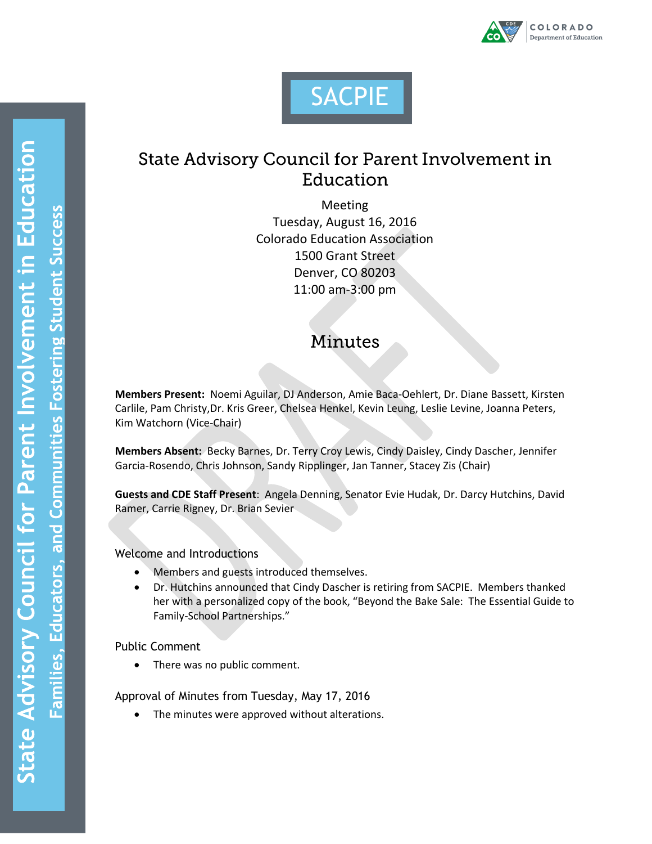



## **State Advisory Council for Parent Involvement in** Education

Meeting Tuesday, August 16, 2016 Colorado Education Association 1500 Grant Street Denver, CO 80203 11:00 am-3:00 pm

# **Minutes**

**Members Present:** Noemi Aguilar, DJ Anderson, Amie Baca-Oehlert, Dr. Diane Bassett, Kirsten Carlile, Pam Christy,Dr. Kris Greer, Chelsea Henkel, Kevin Leung, Leslie Levine, Joanna Peters, Kim Watchorn (Vice-Chair)

**Members Absent:** Becky Barnes, Dr. Terry Croy Lewis, Cindy Daisley, Cindy Dascher, Jennifer Garcia-Rosendo, Chris Johnson, Sandy Ripplinger, Jan Tanner, Stacey Zis (Chair)

**Guests and CDE Staff Present**: Angela Denning, Senator Evie Hudak, Dr. Darcy Hutchins, David Ramer, Carrie Rigney, Dr. Brian Sevier

Welcome and Introductions

- Members and guests introduced themselves.
- Dr. Hutchins announced that Cindy Dascher is retiring from SACPIE. Members thanked her with a personalized copy of the book, "Beyond the Bake Sale: The Essential Guide to Family-School Partnerships."

Public Comment

• There was no public comment.

Approval of Minutes from Tuesday, May 17, 2016

• The minutes were approved without alterations.

**m**

**e**

 $\mathbf{\mathbf{C}}$ 

**r**

**mm**

**es**

**er**

**b** 

**ent Succ** 

**e**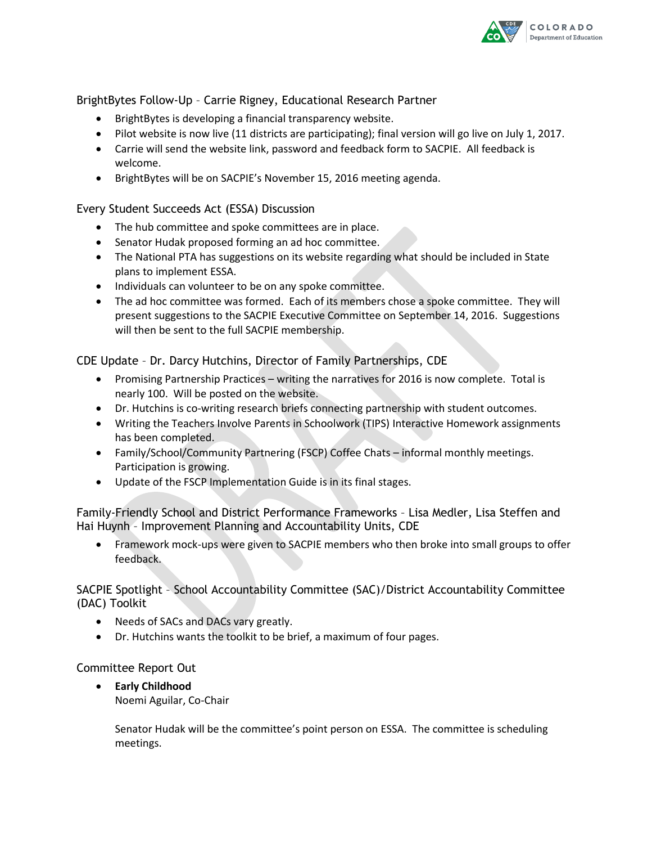

BrightBytes Follow-Up – Carrie Rigney, Educational Research Partner

- BrightBytes is developing a financial transparency website.
- Pilot website is now live (11 districts are participating); final version will go live on July 1, 2017.
- Carrie will send the website link, password and feedback form to SACPIE. All feedback is welcome.
- BrightBytes will be on SACPIE's November 15, 2016 meeting agenda.

## Every Student Succeeds Act (ESSA) Discussion

- The hub committee and spoke committees are in place.
- Senator Hudak proposed forming an ad hoc committee.
- The National PTA has suggestions on its website regarding what should be included in State plans to implement ESSA.
- Individuals can volunteer to be on any spoke committee.
- The ad hoc committee was formed. Each of its members chose a spoke committee. They will present suggestions to the SACPIE Executive Committee on September 14, 2016. Suggestions will then be sent to the full SACPIE membership.

### CDE Update – Dr. Darcy Hutchins, Director of Family Partnerships, CDE

- Promising Partnership Practices writing the narratives for 2016 is now complete. Total is nearly 100. Will be posted on the website.
- Dr. Hutchins is co-writing research briefs connecting partnership with student outcomes.
- Writing the Teachers Involve Parents in Schoolwork (TIPS) Interactive Homework assignments has been completed.
- Family/School/Community Partnering (FSCP) Coffee Chats informal monthly meetings. Participation is growing.
- Update of the FSCP Implementation Guide is in its final stages.

Family-Friendly School and District Performance Frameworks – Lisa Medler, Lisa Steffen and Hai Huynh – Improvement Planning and Accountability Units, CDE

 Framework mock-ups were given to SACPIE members who then broke into small groups to offer feedback.

## SACPIE Spotlight – School Accountability Committee (SAC)/District Accountability Committee (DAC) Toolkit

- Needs of SACs and DACs vary greatly.
- Dr. Hutchins wants the toolkit to be brief, a maximum of four pages.

### Committee Report Out

 **Early Childhood** Noemi Aguilar, Co-Chair

> Senator Hudak will be the committee's point person on ESSA. The committee is scheduling meetings.